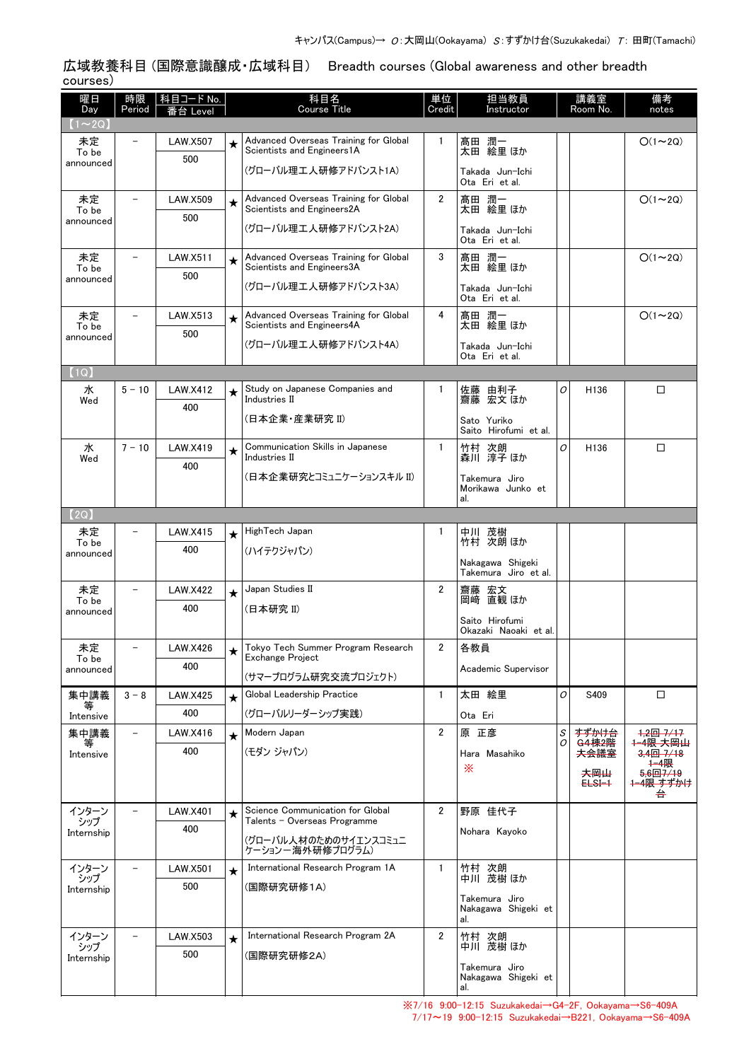広域教養科目 (国際意識醸成・広域科目) Breadth courses (Global awareness and other breadth courses)

| 曜日                  | 時限                       | 科目コード No.       |            | 科目名<br><b>Course Title</b>                                          | 単位             | 担当教員                                     |        | 講義室<br>Room No.          | 備考                               |
|---------------------|--------------------------|-----------------|------------|---------------------------------------------------------------------|----------------|------------------------------------------|--------|--------------------------|----------------------------------|
| Day<br>$(1\sim 2Q)$ | Period                   | 番台 Level        |            |                                                                     | Credit         | Instructor                               |        |                          | notes                            |
| 未定                  |                          | <b>LAW.X507</b> | $\star$    | Advanced Overseas Training for Global<br>Scientists and Engineers1A | $\mathbf{1}$   | 髙田 潤一                                    |        |                          | $O(1\sim 2Q)$                    |
| To be<br>announced  |                          | 500             |            | (グローバル理工人研修アドバンスト1A)                                                |                | 太田 絵里 ほか                                 |        |                          |                                  |
|                     |                          |                 |            |                                                                     |                | Takada Jun-Ichi<br>Ota Eri et al.        |        |                          |                                  |
| 未定<br>To be         | $\overline{\phantom{0}}$ | <b>LAW.X509</b> | $\star$    | Advanced Overseas Training for Global<br>Scientists and Engineers2A | $\overline{2}$ | 髙田 潤一<br>太田 絵里 ほか                        |        |                          | $O(1\sim 2Q)$                    |
| announced           |                          | 500             |            | (グローバル理工人研修アドバンスト2A)                                                |                | Takada Jun-Ichi                          |        |                          |                                  |
|                     |                          |                 |            |                                                                     |                | Ota Eri et al.                           |        |                          |                                  |
| 未定<br>To be         |                          | LAW.X511        | $\star$    | Advanced Overseas Training for Global<br>Scientists and Engineers3A | 3              | 髙田 潤一<br>太田 絵里 ほか                        |        |                          | $O(1\sim 2Q)$                    |
| announced           |                          | 500             |            | (グローバル理工人研修アドバンスト3A)                                                |                | Takada Jun-Ichi                          |        |                          |                                  |
|                     | $\equiv$                 |                 |            |                                                                     |                | Ota Eri et al.                           |        |                          |                                  |
| 未定<br>To be         |                          | LAW.X513<br>500 | $\star$    | Advanced Overseas Training for Global<br>Scientists and Engineers4A | 4              | 髙田 潤一<br>太田 絵里 ほか                        |        |                          | $O(1\sim 2Q)$                    |
| announced           |                          |                 |            | (グローバル理工人研修アドバンスト4A)                                                |                | Takada Jun-Ichi                          |        |                          |                                  |
| (1Q)                |                          |                 |            |                                                                     |                | Ota Eri et al.                           |        |                          |                                  |
| 水                   | $5 - 10$                 | <b>LAW.X412</b> | ★          | Study on Japanese Companies and                                     | 1              | 由利子<br>佐藤                                | 0      | H <sub>136</sub>         | □                                |
| Wed                 |                          | 400             |            | Industries II                                                       |                | 齋藤 宏文 ほか                                 |        |                          |                                  |
|                     |                          |                 |            | (日本企業・産業研究 II)                                                      |                | Sato Yuriko<br>Saito Hirofumi et al.     |        |                          |                                  |
| 水<br>Wed            | $7 - 10$                 | <b>LAW.X419</b> | $\star$    | Communication Skills in Japanese<br>Industries II                   | $\mathbf{1}$   | 竹村 次朗<br>森川 淳子 ほか                        | O      | H136                     | □                                |
|                     |                          | 400             |            | (日本企業研究とコミュニケーションスキル II)                                            |                | Takemura Jiro                            |        |                          |                                  |
|                     |                          |                 |            |                                                                     |                | Morikawa Junko et<br>al.                 |        |                          |                                  |
| (2Q)                |                          |                 |            |                                                                     |                |                                          |        |                          |                                  |
| 未定                  |                          | LAW.X415        | $\star$    | HighTech Japan                                                      | 1              | 中川 茂樹                                    |        |                          |                                  |
| To be<br>announced  |                          | 400             |            | (ハイテクジャパン)                                                          |                | 竹村 次朗 ほか                                 |        |                          |                                  |
|                     |                          |                 |            |                                                                     |                | Nakagawa Shigeki<br>Takemura Jiro et al. |        |                          |                                  |
| 未定<br>To be         |                          | <b>LAW.X422</b> | $\star$    | Japan Studies II                                                    | $\overline{2}$ | 齋藤 宏文<br>岡﨑 直観ほか<br>岡崎                   |        |                          |                                  |
| announced           |                          | 400             |            | (日本研究 II)                                                           |                | Saito Hirofumi                           |        |                          |                                  |
|                     |                          |                 |            |                                                                     |                | Okazaki Naoaki et al.                    |        |                          |                                  |
| 未定<br>To be         |                          | <b>LAW.X426</b> | $\bigstar$ | Tokyo Tech Summer Program Research<br>Exchange Project              | 2              | 各教員                                      |        |                          |                                  |
| announced           |                          | 400             |            | (サマープログラム研究交流プロジェクト)                                                |                | Academic Supervisor                      |        |                          |                                  |
| 集中講義                | $3 - 8$                  | <b>LAW.X425</b> | $\star$    | Global Leadership Practice                                          | $\mathbf{1}$   | 太田 絵里                                    | O      | S409                     | □                                |
| Intensive           |                          | 400             |            | (グローバルリーダーシップ実践)                                                    |                | Ota Eri                                  |        |                          |                                  |
| 集中講義                |                          | LAW.X416        | $\star$    | Modern Japan                                                        | $\overline{2}$ | 原 正彦                                     | S<br>0 | すずかけ台<br><b>G4棟2階</b>    | 1,2回 7/17<br>1-4限 大岡山            |
| Intensive           |                          | 400             |            | (モダン ジャパン)                                                          |                | Hara Masahiko                            |        | 夫会議室                     | $3,4\boxplus 7/18$<br>1-4限       |
|                     |                          |                 |            |                                                                     |                | ⋇                                        |        | 夫岡山<br><del>ELSI 1</del> | 5,6回7/19<br><del>1-4限 すずかけ</del> |
|                     |                          |                 |            |                                                                     |                |                                          |        |                          | 台                                |
| インターン<br>シップ        |                          | <b>LAW.X401</b> | $\star$    | Science Communication for Global<br>Talents - Overseas Programme    | $\overline{2}$ | 野原 佳代子                                   |        |                          |                                  |
| Internship          |                          | 400             |            | (グローバル人材のためのサイエンスコミュニ                                               |                | Nohara Kayoko                            |        |                          |                                  |
|                     |                          |                 |            | ケーション一海外研修プログラム)<br>International Research Program 1A               | $\mathbf{1}$   |                                          |        |                          |                                  |
| インターン<br>シップ        |                          | LAW.X501<br>500 | $\star$    | (国際研究研修1A)                                                          |                | 竹村 次朗<br>中川 茂樹 ほか                        |        |                          |                                  |
| Internship          |                          |                 |            |                                                                     |                | Takemura Jiro<br>Nakagawa Shigeki et     |        |                          |                                  |
|                     |                          |                 |            |                                                                     |                | al.                                      |        |                          |                                  |
| インターン<br>シップ        |                          | LAW.X503        | $\star$    | International Research Program 2A                                   | $\overline{2}$ | 竹村 次朗<br>中川 茂樹 ほか                        |        |                          |                                  |
| Internship          |                          | 500             |            | (国際研究研修2A)                                                          |                | Takemura Jiro                            |        |                          |                                  |
|                     |                          |                 |            |                                                                     |                | Nakagawa Shigeki et<br>al.               |        |                          |                                  |